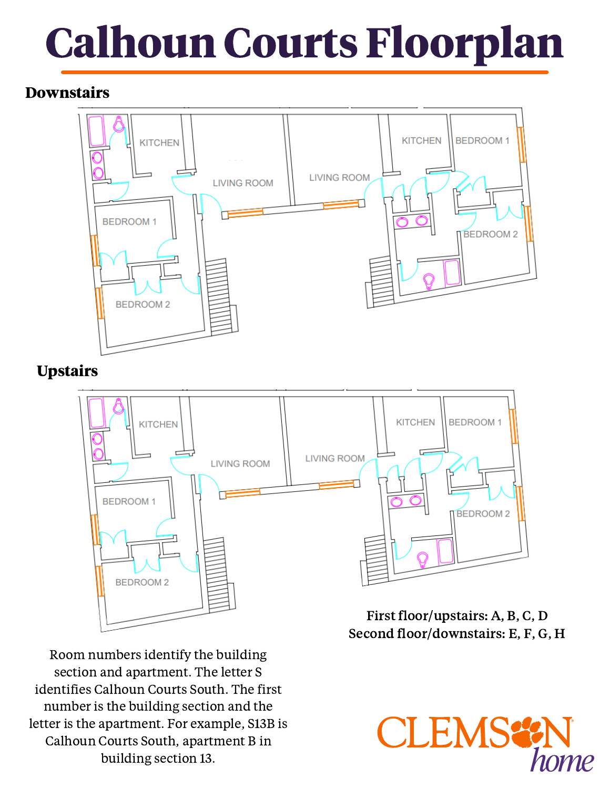## Calhoun Courts Floorplan

#### **Downstairs**



### **Upstairs**



Room numbers identify the building section and apartment. The letter S identifies Calhoun Courts South. The first number is the building section and the letter is the apartment. For example, S13B is Calhoun Courts South, apartment B in building section 13.

First floor/upstairs: A, B, C, D Second floor/downstairs: E, F, G, H

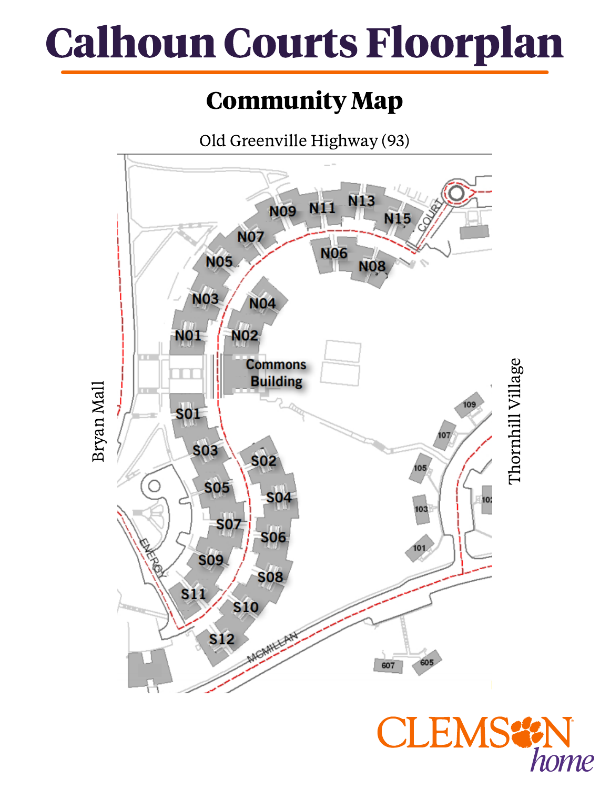

### Community Map

Old Greenville Highway (93)



I Fil home